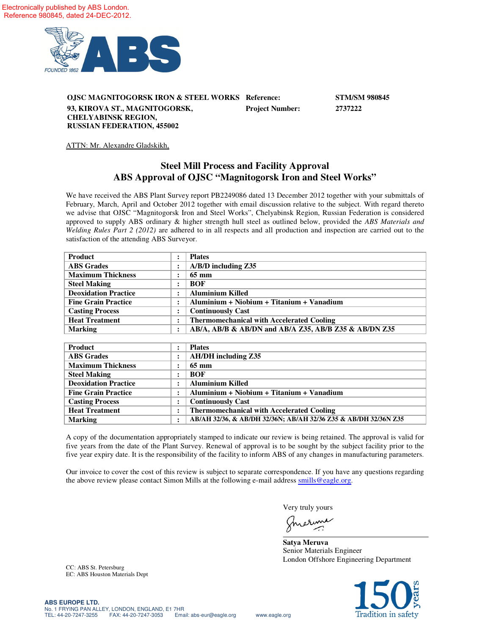

**OJSC MAGNITOGORSK IRON & STEEL WORKS Reference: STM/SM 980845 93, KIROVA ST., MAGNITOGORSK, CHELYABINSK REGION, RUSSIAN FEDERATION, 455002 Project Number: 2737222**

ATTN: Mr. Alexandre Gladskikh,

## **Steel Mill Process and Facility Approval ABS Approval of OJSC "Magnitogorsk Iron and Steel Works"**

We have received the ABS Plant Survey report PB2249086 dated 13 December 2012 together with your submittals of February, March, April and October 2012 together with email discussion relative to the subject. With regard thereto we advise that OJSC "Magnitogorsk Iron and Steel Works", Chelyabinsk Region, Russian Federation is considered approved to supply ABS ordinary & higher strength hull steel as outlined below, provided the *ABS Materials and Welding Rules Part 2 (2012)* are adhered to in all respects and all production and inspection are carried out to the satisfaction of the attending ABS Surveyor.

| Product                     | ٠ | <b>Plates</b>                                         |
|-----------------------------|---|-------------------------------------------------------|
| <b>ABS</b> Grades           |   | $A/B/D$ including $Z35$                               |
| <b>Maximum Thickness</b>    |   | 65 mm                                                 |
| <b>Steel Making</b>         |   | <b>BOF</b>                                            |
| <b>Deoxidation Practice</b> |   | <b>Aluminium Killed</b>                               |
| <b>Fine Grain Practice</b>  |   | Aluminium + Niobium + Titanium + Vanadium             |
| <b>Casting Process</b>      | ٠ | <b>Continuously Cast</b>                              |
| <b>Heat Treatment</b>       | ٠ | <b>Thermomechanical with Accelerated Cooling</b>      |
| <b>Marking</b>              | ٠ | AB/A, AB/B & AB/DN and AB/A Z35, AB/B Z35 & AB/DN Z35 |

| Product                     | <b>Plates</b>                                                   |
|-----------------------------|-----------------------------------------------------------------|
| <b>ABS</b> Grades           | <b>AH/DH</b> including Z35                                      |
| <b>Maximum Thickness</b>    | 65 mm                                                           |
| <b>Steel Making</b>         | <b>BOF</b>                                                      |
| <b>Deoxidation Practice</b> | <b>Aluminium Killed</b>                                         |
| <b>Fine Grain Practice</b>  | Aluminium + Niobium + Titanium + Vanadium                       |
| <b>Casting Process</b>      | <b>Continuously Cast</b>                                        |
| <b>Heat Treatment</b>       | <b>Thermomechanical with Accelerated Cooling</b>                |
| <b>Marking</b>              | AB/AH 32/36, & AB/DH 32/36N; AB/AH 32/36 Z35 & AB/DH 32/36N Z35 |

A copy of the documentation appropriately stamped to indicate our review is being retained. The approval is valid for five years from the date of the Plant Survey. Renewal of approval is to be sought by the subject facility prior to the five year expiry date. It is the responsibility of the facility to inform ABS of any changes in manufacturing parameters.

Our invoice to cover the cost of this review is subject to separate correspondence. If you have any questions regarding the above review please contact Simon Mills at the following e-mail address smills@eagle.org.

Very truly yours

erine

**Satya Meruva** Senior Materials Engineer London Offshore Engineering Department



CC: ABS St. Petersburg EC: ABS Houston Materials Dept